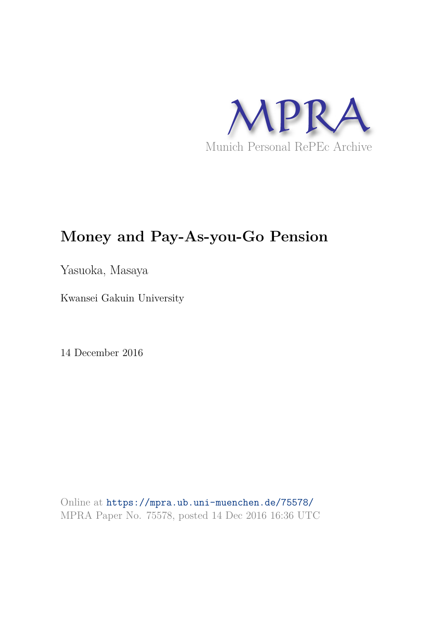

# **Money and Pay-As-you-Go Pension**

Yasuoka, Masaya

Kwansei Gakuin University

14 December 2016

Online at https://mpra.ub.uni-muenchen.de/75578/ MPRA Paper No. 75578, posted 14 Dec 2016 16:36 UTC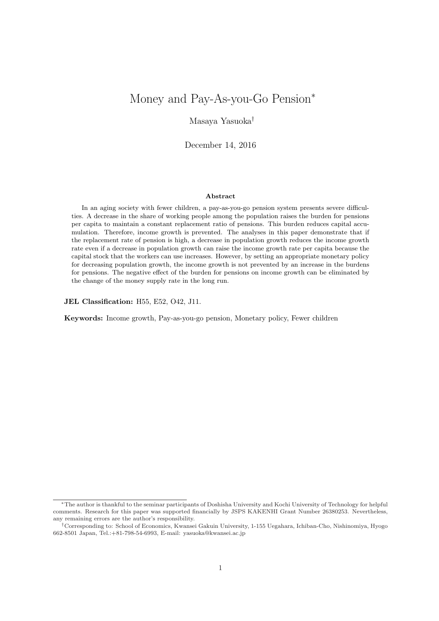## Money and Pay-As-you-Go Pension<sup>∗</sup>

Masaya Yasuoka†

December 14, 2016

#### Abstract

In an aging society with fewer children, a pay-as-you-go pension system presents severe difficulties. A decrease in the share of working people among the population raises the burden for pensions per capita to maintain a constant replacement ratio of pensions. This burden reduces capital accumulation. Therefore, income growth is prevented. The analyses in this paper demonstrate that if the replacement rate of pension is high, a decrease in population growth reduces the income growth rate even if a decrease in population growth can raise the income growth rate per capita because the capital stock that the workers can use increases. However, by setting an appropriate monetary policy for decreasing population growth, the income growth is not prevented by an increase in the burdens for pensions. The negative effect of the burden for pensions on income growth can be eliminated by the change of the money supply rate in the long run.

JEL Classification: H55, E52, O42, J11.

Keywords: Income growth, Pay-as-you-go pension, Monetary policy, Fewer children

<sup>∗</sup>The author is thankful to the seminar participants of Doshisha University and Kochi University of Technology for helpful comments. Research for this paper was supported financially by JSPS KAKENHI Grant Number 26380253. Nevertheless, any remaining errors are the author's responsibility.

<sup>†</sup>Corresponding to: School of Economics, Kwansei Gakuin University, 1-155 Uegahara, Ichiban-Cho, Nishinomiya, Hyogo 662-8501 Japan, Tel.:+81-798-54-6993, E-mail: yasuoka@kwansei.ac.jp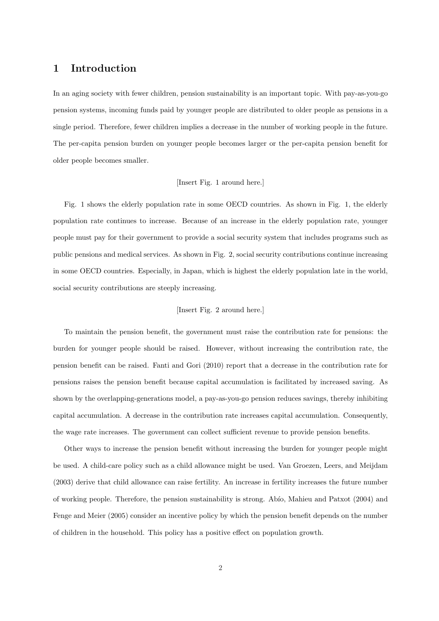## 1 Introduction

In an aging society with fewer children, pension sustainability is an important topic. With pay-as-you-go pension systems, incoming funds paid by younger people are distributed to older people as pensions in a single period. Therefore, fewer children implies a decrease in the number of working people in the future. The per-capita pension burden on younger people becomes larger or the per-capita pension benefit for older people becomes smaller.

#### [Insert Fig. 1 around here.]

Fig. 1 shows the elderly population rate in some OECD countries. As shown in Fig. 1, the elderly population rate continues to increase. Because of an increase in the elderly population rate, younger people must pay for their government to provide a social security system that includes programs such as public pensions and medical services. As shown in Fig. 2, social security contributions continue increasing in some OECD countries. Especially, in Japan, which is highest the elderly population late in the world, social security contributions are steeply increasing.

#### [Insert Fig. 2 around here.]

To maintain the pension benefit, the government must raise the contribution rate for pensions: the burden for younger people should be raised. However, without increasing the contribution rate, the pension benefit can be raised. Fanti and Gori (2010) report that a decrease in the contribution rate for pensions raises the pension benefit because capital accumulation is facilitated by increased saving. As shown by the overlapping-generations model, a pay-as-you-go pension reduces savings, thereby inhibiting capital accumulation. A decrease in the contribution rate increases capital accumulation. Consequently, the wage rate increases. The government can collect sufficient revenue to provide pension benefits.

Other ways to increase the pension benefit without increasing the burden for younger people might be used. A child-care policy such as a child allowance might be used. Van Groezen, Leers, and Meijdam (2003) derive that child allowance can raise fertility. An increase in fertility increases the future number of working people. Therefore, the pension sustainability is strong. Abío, Mahieu and Patxot (2004) and Fenge and Meier (2005) consider an incentive policy by which the pension benefit depends on the number of children in the household. This policy has a positive effect on population growth.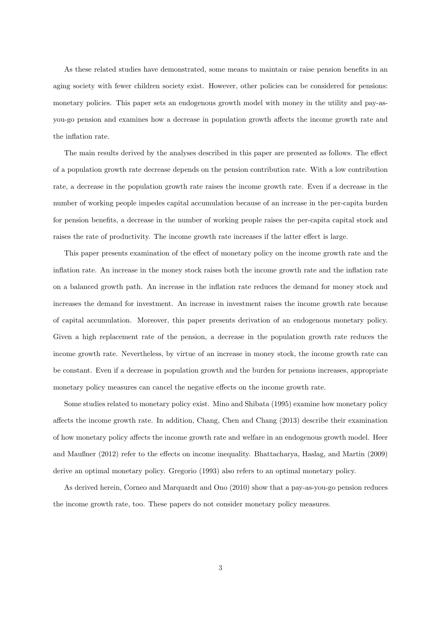As these related studies have demonstrated, some means to maintain or raise pension benefits in an aging society with fewer children society exist. However, other policies can be considered for pensions: monetary policies. This paper sets an endogenous growth model with money in the utility and pay-asyou-go pension and examines how a decrease in population growth affects the income growth rate and the inflation rate.

The main results derived by the analyses described in this paper are presented as follows. The effect of a population growth rate decrease depends on the pension contribution rate. With a low contribution rate, a decrease in the population growth rate raises the income growth rate. Even if a decrease in the number of working people impedes capital accumulation because of an increase in the per-capita burden for pension benefits, a decrease in the number of working people raises the per-capita capital stock and raises the rate of productivity. The income growth rate increases if the latter effect is large.

This paper presents examination of the effect of monetary policy on the income growth rate and the inflation rate. An increase in the money stock raises both the income growth rate and the inflation rate on a balanced growth path. An increase in the inflation rate reduces the demand for money stock and increases the demand for investment. An increase in investment raises the income growth rate because of capital accumulation. Moreover, this paper presents derivation of an endogenous monetary policy. Given a high replacement rate of the pension, a decrease in the population growth rate reduces the income growth rate. Nevertheless, by virtue of an increase in money stock, the income growth rate can be constant. Even if a decrease in population growth and the burden for pensions increases, appropriate monetary policy measures can cancel the negative effects on the income growth rate.

Some studies related to monetary policy exist. Mino and Shibata (1995) examine how monetary policy affects the income growth rate. In addition, Chang, Chen and Chang (2013) describe their examination of how monetary policy affects the income growth rate and welfare in an endogenous growth model. Heer and Maußner (2012) refer to the effects on income inequality. Bhattacharya, Haslag, and Martin (2009) derive an optimal monetary policy. Gregorio (1993) also refers to an optimal monetary policy.

As derived herein, Corneo and Marquardt and Ono (2010) show that a pay-as-you-go pension reduces the income growth rate, too. These papers do not consider monetary policy measures.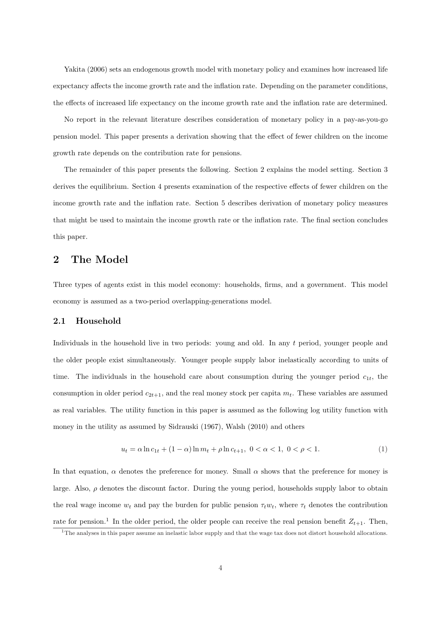Yakita (2006) sets an endogenous growth model with monetary policy and examines how increased life expectancy affects the income growth rate and the inflation rate. Depending on the parameter conditions, the effects of increased life expectancy on the income growth rate and the inflation rate are determined.

No report in the relevant literature describes consideration of monetary policy in a pay-as-you-go pension model. This paper presents a derivation showing that the effect of fewer children on the income growth rate depends on the contribution rate for pensions.

The remainder of this paper presents the following. Section 2 explains the model setting. Section 3 derives the equilibrium. Section 4 presents examination of the respective effects of fewer children on the income growth rate and the inflation rate. Section 5 describes derivation of monetary policy measures that might be used to maintain the income growth rate or the inflation rate. The final section concludes this paper.

## 2 The Model

Three types of agents exist in this model economy: households, firms, and a government. This model economy is assumed as a two-period overlapping-generations model.

#### 2.1 Household

Individuals in the household live in two periods: young and old. In any t period, younger people and the older people exist simultaneously. Younger people supply labor inelastically according to units of time. The individuals in the household care about consumption during the younger period  $c_{1t}$ , the consumption in older period  $c_{2t+1}$ , and the real money stock per capita  $m_t$ . These variables are assumed as real variables. The utility function in this paper is assumed as the following log utility function with money in the utility as assumed by Sidrauski (1967), Walsh (2010) and others

$$
u_t = \alpha \ln c_{1t} + (1 - \alpha) \ln m_t + \rho \ln c_{t+1}, \ 0 < \alpha < 1, \ 0 < \rho < 1. \tag{1}
$$

In that equation,  $\alpha$  denotes the preference for money. Small  $\alpha$  shows that the preference for money is large. Also,  $\rho$  denotes the discount factor. During the young period, households supply labor to obtain the real wage income  $w_t$  and pay the burden for public pension  $\tau_t w_t$ , where  $\tau_t$  denotes the contribution rate for pension.<sup>1</sup> In the older period, the older people can receive the real pension benefit  $Z_{t+1}$ . Then,

 $1$ The analyses in this paper assume an inelastic labor supply and that the wage tax does not distort household allocations.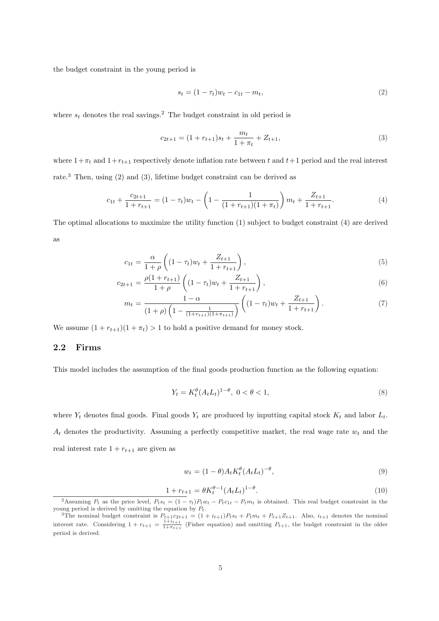the budget constraint in the young period is

$$
s_t = (1 - \tau_t)w_t - c_{1t} - m_t,\tag{2}
$$

where  $s_t$  denotes the real savings.<sup>2</sup> The budget constraint in old period is

$$
c_{2t+1} = (1 + r_{t+1})s_t + \frac{m_t}{1 + \pi_t} + Z_{t+1},
$$
\n(3)

where  $1+\pi_t$  and  $1+r_{t+1}$  respectively denote inflation rate between t and  $t+1$  period and the real interest rate.<sup>3</sup> Then, using (2) and (3), lifetime budget constraint can be derived as

$$
c_{1t} + \frac{c_{2t+1}}{1 + r_{t+1}} = (1 - \tau_t)w_t - \left(1 - \frac{1}{(1 + r_{t+1})(1 + \pi_t)}\right)m_t + \frac{Z_{t+1}}{1 + r_{t+1}}.\tag{4}
$$

The optimal allocations to maximize the utility function (1) subject to budget constraint (4) are derived as

$$
c_{1t} = \frac{\alpha}{1+\rho} \left( (1-\tau_t)w_t + \frac{Z_{t+1}}{1+r_{t+1}} \right),
$$
\n(5)

$$
c_{2t+1} = \frac{\rho(1 + r_{t+1})}{1 + \rho} \left( (1 - \tau_t) w_t + \frac{Z_{t+1}}{1 + r_{t+1}} \right),\tag{6}
$$

$$
m_t = \frac{1 - \alpha}{\left(1 + \rho\right)\left(1 - \frac{1}{(1 + r_{t+1})(1 + \pi_{t+1})}\right)} \left( (1 - \tau_t) w_t + \frac{Z_{t+1}}{1 + r_{t+1}} \right). \tag{7}
$$

We assume  $(1 + r_{t+1})(1 + \pi_t) > 1$  to hold a positive demand for money stock.

#### 2.2 Firms

This model includes the assumption of the final goods production function as the following equation:

$$
Y_t = K_t^{\theta} (A_t L_t)^{1-\theta}, \ 0 < \theta < 1,\tag{8}
$$

where  $Y_t$  denotes final goods. Final goods  $Y_t$  are produced by inputting capital stock  $K_t$  and labor  $L_t$ .  $A_t$  denotes the productivity. Assuming a perfectly competitive market, the real wage rate  $w_t$  and the real interest rate  $1 + r_{t+1}$  are given as

$$
w_t = (1 - \theta)A_t K_t^{\theta} (A_t L_t)^{-\theta}, \qquad (9)
$$

$$
1 + r_{t+1} = \theta K_t^{\theta - 1} (A_t L_t)^{1 - \theta}.
$$
\n(10)

<sup>&</sup>lt;sup>2</sup>Assuming  $P_t$  as the price level,  $P_ts_t = (1 - \tau_t)P_tw_t - P_t c_{1t} - P_t m_t$  is obtained. This real budget constraint in the young period is derived by omitting the equation by  $P_t$ .

<sup>&</sup>lt;sup>3</sup>The nominal budget constraint is  $P_{t+1}c_{2t+1} = (1 + i_{t+1})P_ts_t + P_tm_t + P_{t+1}Z_{t+1}$ . Also,  $i_{t+1}$  denotes the nominal interest rate. Considering  $1 + r_{t+1} = \frac{1+i_{t+1}}{1+\pi_{t+1}}$  (Fisher equation) and omitting  $P_{t+1}$ , the budget constraint in the older period is derived.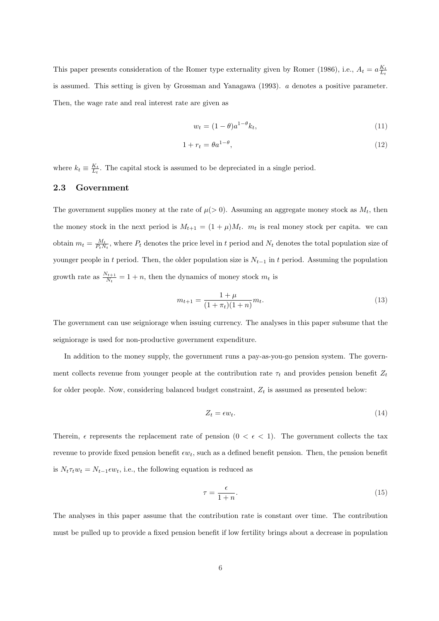This paper presents consideration of the Romer type externality given by Romer (1986), i.e.,  $A_t = a \frac{K_t}{L_t}$ is assumed. This setting is given by Grossman and Yanagawa (1993). a denotes a positive parameter. Then, the wage rate and real interest rate are given as

$$
w_t = (1 - \theta)a^{1 - \theta}k_t, \tag{11}
$$

$$
1 + r_t = \theta a^{1-\theta},\tag{12}
$$

where  $k_t \equiv \frac{K_t}{L_t}$ . The capital stock is assumed to be depreciated in a single period.

### 2.3 Government

The government supplies money at the rate of  $\mu$ (> 0). Assuming an aggregate money stock as  $M_t$ , then the money stock in the next period is  $M_{t+1} = (1 + \mu)M_t$ .  $m_t$  is real money stock per capita. we can obtain  $m_t = \frac{M_t}{P_t N_t}$ , where  $P_t$  denotes the price level in t period and  $N_t$  denotes the total population size of younger people in t period. Then, the older population size is  $N_{t-1}$  in t period. Assuming the population growth rate as  $\frac{N_{t+1}}{N_t} = 1 + n$ , then the dynamics of money stock  $m_t$  is

$$
m_{t+1} = \frac{1+\mu}{(1+\pi_t)(1+n)} m_t.
$$
\n(13)

The government can use seigniorage when issuing currency. The analyses in this paper subsume that the seigniorage is used for non-productive government expenditure.

In addition to the money supply, the government runs a pay-as-you-go pension system. The government collects revenue from younger people at the contribution rate  $\tau_t$  and provides pension benefit  $Z_t$ for older people. Now, considering balanced budget constraint,  $Z_t$  is assumed as presented below:

$$
Z_t = \epsilon w_t. \tag{14}
$$

Therein,  $\epsilon$  represents the replacement rate of pension  $(0 < \epsilon < 1)$ . The government collects the tax revenue to provide fixed pension benefit  $\epsilon w_t$ , such as a defined benefit pension. Then, the pension benefit is  $N_t \tau_t w_t = N_{t-1} \epsilon w_t$ , i.e., the following equation is reduced as

$$
\tau = \frac{\epsilon}{1+n}.\tag{15}
$$

The analyses in this paper assume that the contribution rate is constant over time. The contribution must be pulled up to provide a fixed pension benefit if low fertility brings about a decrease in population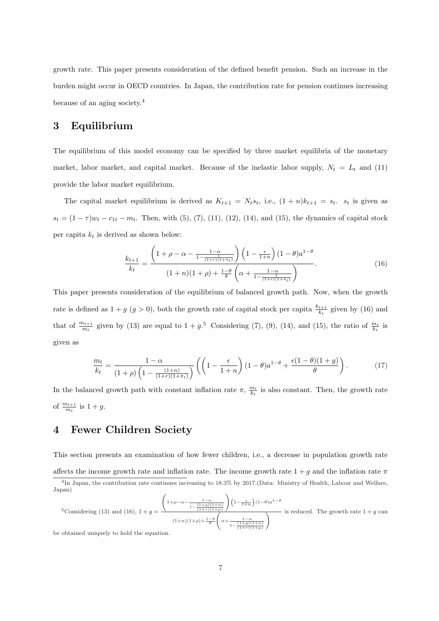growth rate. This paper presents consideration of the defined benefit pension. Such an increase in the burden might occur in OECD countries. In Japan, the contribution rate for pension continues increasing because of an aging society.<sup>4</sup>

## 3 Equilibrium

The equilibrium of this model economy can be specified by three market equilibria of the monetary market, labor market, and capital market. Because of the inelastic labor supply,  $N_t = L_t$  and (11) provide the labor market equilibrium.

The capital market equilibrium is derived as  $K_{t+1} = N_t s_t$ , i.e.,  $(1 + n)k_{t+1} = s_t$ .  $s_t$  is given as  $s_t = (1 - \tau)w_t - c_{1t} - m_t$ . Then, with (5), (7), (11), (12), (14), and (15), the dynamics of capital stock per capita  $k_t$  is derived as shown below:

$$
\frac{k_{t+1}}{k_t} = \frac{\left(1+\rho-\alpha-\frac{1-\alpha}{1-\frac{1}{(1+r)(1+\pi_t)}}\right)\left(1-\frac{\epsilon}{1+n}\right)(1-\theta)a^{1-\theta}}{(1+n)(1+\rho)+\frac{1-\theta}{\theta}\left(\alpha+\frac{1-\alpha}{1-\frac{1}{(1+r)(1+\pi_t)}}\right)}.
$$
(16)

This paper presents consideration of the equilibrium of balanced growth path. Now, when the growth rate is defined as  $1 + g$  ( $g > 0$ ), both the growth rate of capital stock per capita  $\frac{k_{t+1}}{k_t}$  given by (16) and that of  $\frac{m_{t+1}}{m_t}$  given by (13) are equal to  $1 + g^{5}$  Considering (7), (9), (14), and (15), the ratio of  $\frac{m_t}{k_t}$  is given as

$$
\frac{m_t}{k_t} = \frac{1-\alpha}{\left(1+\rho\right)\left(1-\frac{(1+n)}{(1+r)(1+\pi_t)}\right)} \left(\left(1-\frac{\epsilon}{1+n}\right)(1-\theta)a^{1-\theta} + \frac{\epsilon(1-\theta)(1+g)}{\theta}\right). \tag{17}
$$

In the balanced growth path with constant inflation rate  $\pi$ ,  $\frac{m_t}{k_t}$  is also constant. Then, the growth rate of  $\frac{m_{t+1}}{m_t}$  is  $1+g$ .

## 4 Fewer Children Society

This section presents an examination of how fewer children, i.e., a decrease in population growth rate affects the income growth rate and inflation rate. The income growth rate  $1 + g$  and the inflation rate  $\pi$ 

$$
{}^{5}\text{Considering (13) and (16), } 1+g = \frac{\left(1+\rho-\alpha-\frac{1-\alpha}{1-\frac{(1+g)(1+n)}{(1+r)(1+\mu)}}\right)\left(1-\frac{\epsilon}{1+n}\right)(1-\theta)a^{1-\theta}}{(1+n)(1+\rho)+\frac{1-\theta}{\theta}\left(\alpha+\frac{1-\alpha}{1-\frac{(1+g)(1+n)}{(1+r)(1+\mu)}}\right)}
$$
 is reduced. The growth rate  $1+g$  can

be obtained uniquely to hold the equation.

<sup>&</sup>lt;sup>4</sup>In Japan, the contribution rate continues increasing to 18.3% by 2017.(Data: Ministry of Health, Labour and Welfare, Japan)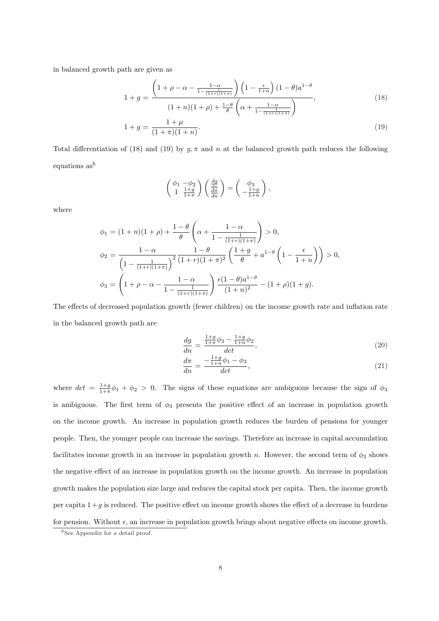in balanced growth path are given as

$$
1 + g = \frac{\left(1 + \rho - \alpha - \frac{1 - \alpha}{1 - \frac{1}{(1 + r)(1 + \pi)}}\right)\left(1 - \frac{\epsilon}{1 + n}\right)(1 - \theta)a^{1 - \theta}}{(1 + n)(1 + \rho) + \frac{1 - \theta}{\theta}\left(\alpha + \frac{1 - \alpha}{1 - \frac{1}{(1 + r)(1 + \pi)}}\right)},\tag{18}
$$

$$
1 + g = \frac{1 + \mu}{(1 + \pi)(1 + n)}.\tag{19}
$$

Total differentiation of (18) and (19) by  $g, \pi$  and n at the balanced growth path reduces the following equations  $as^6$ 

$$
\begin{pmatrix} \phi_1 & -\phi_2 \\ 1 & \frac{1+g}{1+\pi} \end{pmatrix} \begin{pmatrix} \frac{dg}{dn} \\ \frac{d\pi}{dn} \end{pmatrix} = \begin{pmatrix} \phi_3 \\ -\frac{1+g}{1+n} \end{pmatrix},
$$

where

$$
\phi_1 = (1+n)(1+\rho) + \frac{1-\theta}{\theta} \left( \alpha + \frac{1-\alpha}{1 - \frac{1}{(1+r)(1+\pi)}} \right) > 0,
$$
  

$$
\phi_2 = \frac{1-\alpha}{\left(1 - \frac{1}{(1+r)(1+\pi)}\right)^2} \frac{1-\theta}{(1+r)(1+\pi)^2} \left(\frac{1+g}{\theta} + a^{1-\theta} \left(1 - \frac{\epsilon}{1+n}\right)\right) > 0,
$$
  

$$
\phi_3 = \left(1+\rho-\alpha - \frac{1-\alpha}{1 - \frac{1}{(1+r)(1+\pi)}}\right) \frac{\epsilon(1-\theta)a^{1-\theta}}{(1+n)^2} - (1+\rho)(1+g).
$$

The effects of decreased population growth (fewer children) on the income growth rate and inflation rate in the balanced growth path are

$$
\frac{dg}{dn} = \frac{\frac{1+g}{1+\pi}\phi_3 - \frac{1+g}{1+\pi}\phi_2}{det},
$$
\n(20)

$$
\frac{d\pi}{dn} = \frac{-\frac{1+g}{1+n}\phi_1 - \phi_3}{det},\tag{21}
$$

where  $det = \frac{1+g}{1+\pi} \phi_1 + \phi_2 > 0$ . The signs of these equations are ambiguous because the sign of  $\phi_3$ is ambiguous. The first term of  $\phi_3$  presents the positive effect of an increase in population growth on the income growth. An increase in population growth reduces the burden of pensions for younger people. Then, the younger people can increase the savings. Therefore an increase in capital accumulation facilitates income growth in an increase in population growth n. However, the second term of  $\phi_3$  shows the negative effect of an increase in population growth on the income growth. An increase in population growth makes the population size large and reduces the capital stock per capita. Then, the income growth per capita  $1+g$  is reduced. The positive effect on income growth shows the effect of a decrease in burdens for pension. Without  $\epsilon$ , an increase in population growth brings about negative effects on income growth.

 ${}^{6}$ See Appendix for a detail proof.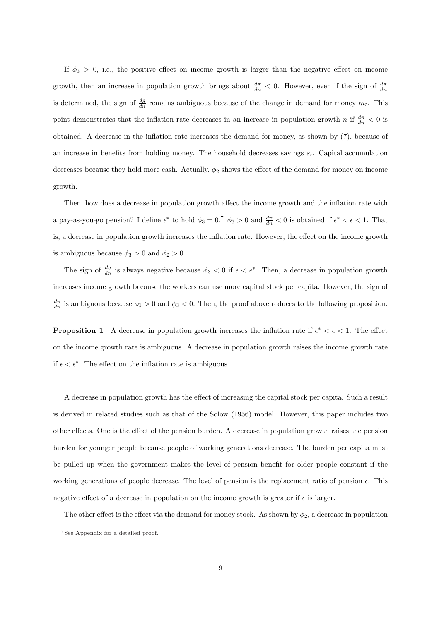If  $\phi_3 > 0$ , i.e., the positive effect on income growth is larger than the negative effect on income growth, then an increase in population growth brings about  $\frac{d\pi}{dn} < 0$ . However, even if the sign of  $\frac{d\pi}{dn}$ is determined, the sign of  $\frac{dg}{dn}$  remains ambiguous because of the change in demand for money  $m_t$ . This point demonstrates that the inflation rate decreases in an increase in population growth n if  $\frac{d\pi}{dn} < 0$  is obtained. A decrease in the inflation rate increases the demand for money, as shown by (7), because of an increase in benefits from holding money. The household decreases savings  $s_t$ . Capital accumulation decreases because they hold more cash. Actually,  $\phi_2$  shows the effect of the demand for money on income growth.

Then, how does a decrease in population growth affect the income growth and the inflation rate with a pay-as-you-go pension? I define  $\epsilon^*$  to hold  $\phi_3 = 0.7 \phi_3 > 0$  and  $\frac{d\pi}{dn} < 0$  is obtained if  $\epsilon^* < \epsilon < 1$ . That is, a decrease in population growth increases the inflation rate. However, the effect on the income growth is ambiguous because  $\phi_3 > 0$  and  $\phi_2 > 0$ .

The sign of  $\frac{dg}{dn}$  is always negative because  $\phi_3 < 0$  if  $\epsilon < \epsilon^*$ . Then, a decrease in population growth increases income growth because the workers can use more capital stock per capita. However, the sign of  $\frac{d\pi}{dn}$  is ambiguous because  $\phi_1 > 0$  and  $\phi_3 < 0$ . Then, the proof above reduces to the following proposition.

**Proposition 1** A decrease in population growth increases the inflation rate if  $\epsilon^* < \epsilon < 1$ . The effect on the income growth rate is ambiguous. A decrease in population growth raises the income growth rate if  $\epsilon < \epsilon^*$ . The effect on the inflation rate is ambiguous.

A decrease in population growth has the effect of increasing the capital stock per capita. Such a result is derived in related studies such as that of the Solow (1956) model. However, this paper includes two other effects. One is the effect of the pension burden. A decrease in population growth raises the pension burden for younger people because people of working generations decrease. The burden per capita must be pulled up when the government makes the level of pension benefit for older people constant if the working generations of people decrease. The level of pension is the replacement ratio of pension  $\epsilon$ . This negative effect of a decrease in population on the income growth is greater if  $\epsilon$  is larger.

The other effect is the effect via the demand for money stock. As shown by  $\phi_2$ , a decrease in population

<sup>7</sup>See Appendix for a detailed proof.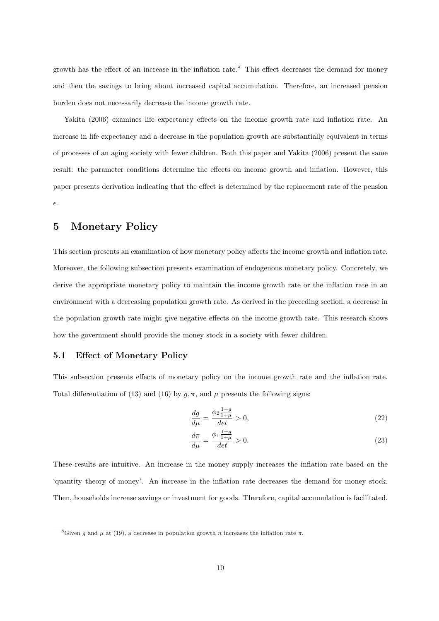growth has the effect of an increase in the inflation rate.<sup>8</sup> This effect decreases the demand for money and then the savings to bring about increased capital accumulation. Therefore, an increased pension burden does not necessarily decrease the income growth rate.

Yakita (2006) examines life expectancy effects on the income growth rate and inflation rate. An increase in life expectancy and a decrease in the population growth are substantially equivalent in terms of processes of an aging society with fewer children. Both this paper and Yakita (2006) present the same result: the parameter conditions determine the effects on income growth and inflation. However, this paper presents derivation indicating that the effect is determined by the replacement rate of the pension  $\epsilon$ .

## 5 Monetary Policy

This section presents an examination of how monetary policy affects the income growth and inflation rate. Moreover, the following subsection presents examination of endogenous monetary policy. Concretely, we derive the appropriate monetary policy to maintain the income growth rate or the inflation rate in an environment with a decreasing population growth rate. As derived in the preceding section, a decrease in the population growth rate might give negative effects on the income growth rate. This research shows how the government should provide the money stock in a society with fewer children.

## 5.1 Effect of Monetary Policy

This subsection presents effects of monetary policy on the income growth rate and the inflation rate. Total differentiation of (13) and (16) by  $g, \pi$ , and  $\mu$  presents the following signs:

$$
\frac{dg}{d\mu} = \frac{\phi_2 \frac{1+g}{1+\mu}}{det} > 0,\tag{22}
$$

$$
\frac{d\pi}{d\mu} = \frac{\phi_1 \frac{1+g}{1+\mu}}{det} > 0.
$$
\n(23)

These results are intuitive. An increase in the money supply increases the inflation rate based on the 'quantity theory of money'. An increase in the inflation rate decreases the demand for money stock. Then, households increase savings or investment for goods. Therefore, capital accumulation is facilitated.

<sup>&</sup>lt;sup>8</sup>Given q and  $\mu$  at (19), a decrease in population growth n increases the inflation rate  $\pi$ .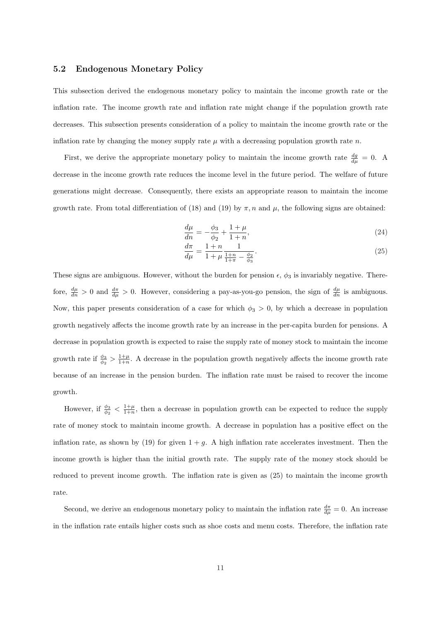### 5.2 Endogenous Monetary Policy

This subsection derived the endogenous monetary policy to maintain the income growth rate or the inflation rate. The income growth rate and inflation rate might change if the population growth rate decreases. This subsection presents consideration of a policy to maintain the income growth rate or the inflation rate by changing the money supply rate  $\mu$  with a decreasing population growth rate n.

First, we derive the appropriate monetary policy to maintain the income growth rate  $\frac{dg}{d\mu} = 0$ . A decrease in the income growth rate reduces the income level in the future period. The welfare of future generations might decrease. Consequently, there exists an appropriate reason to maintain the income growth rate. From total differentiation of (18) and (19) by  $\pi$ , n and  $\mu$ , the following signs are obtained:

$$
\frac{d\mu}{dn} = -\frac{\phi_3}{\phi_2} + \frac{1+\mu}{1+n},\tag{24}
$$

$$
\frac{d\pi}{d\mu} = \frac{1+n}{1+\mu} \frac{1}{\frac{1+n}{1+\pi} - \frac{\phi_2}{\phi_3}}.\tag{25}
$$

These signs are ambiguous. However, without the burden for pension  $\epsilon$ ,  $\phi_3$  is invariably negative. Therefore,  $\frac{d\mu}{dn} > 0$  and  $\frac{d\pi}{d\mu} > 0$ . However, considering a pay-as-you-go pension, the sign of  $\frac{d\mu}{dn}$  is ambiguous. Now, this paper presents consideration of a case for which  $\phi_3 > 0$ , by which a decrease in population growth negatively affects the income growth rate by an increase in the per-capita burden for pensions. A decrease in population growth is expected to raise the supply rate of money stock to maintain the income growth rate if  $\frac{\phi_3}{\phi_2} > \frac{1+\mu}{1+n}$ . A decrease in the population growth negatively affects the income growth rate because of an increase in the pension burden. The inflation rate must be raised to recover the income growth.

However, if  $\frac{\phi_3}{\phi_2} < \frac{1+\mu}{1+n}$ , then a decrease in population growth can be expected to reduce the supply rate of money stock to maintain income growth. A decrease in population has a positive effect on the inflation rate, as shown by (19) for given  $1 + g$ . A high inflation rate accelerates investment. Then the income growth is higher than the initial growth rate. The supply rate of the money stock should be reduced to prevent income growth. The inflation rate is given as (25) to maintain the income growth rate.

Second, we derive an endogenous monetary policy to maintain the inflation rate  $\frac{d\pi}{d\mu} = 0$ . An increase in the inflation rate entails higher costs such as shoe costs and menu costs. Therefore, the inflation rate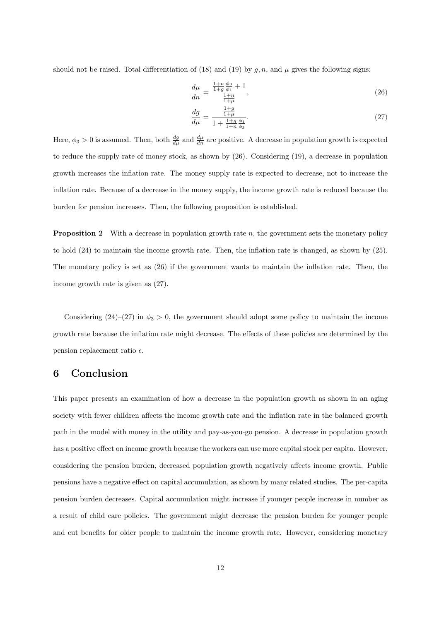should not be raised. Total differentiation of (18) and (19) by  $g, n$ , and  $\mu$  gives the following signs:

$$
\frac{d\mu}{dn} = \frac{\frac{1+n}{1+g}\frac{\phi_3}{\phi_1} + 1}{\frac{1+n}{1+\mu}},\tag{26}
$$

$$
\frac{dg}{d\mu} = \frac{\frac{1+g}{1+\mu}}{1 + \frac{1+g}{1+n}\frac{\phi_1}{\phi_3}}.\tag{27}
$$

Here,  $\phi_3 > 0$  is assumed. Then, both  $\frac{dg}{d\mu}$  and  $\frac{d\mu}{dn}$  are positive. A decrease in population growth is expected to reduce the supply rate of money stock, as shown by (26). Considering (19), a decrease in population growth increases the inflation rate. The money supply rate is expected to decrease, not to increase the inflation rate. Because of a decrease in the money supply, the income growth rate is reduced because the burden for pension increases. Then, the following proposition is established.

**Proposition 2** With a decrease in population growth rate  $n$ , the government sets the monetary policy to hold (24) to maintain the income growth rate. Then, the inflation rate is changed, as shown by (25). The monetary policy is set as (26) if the government wants to maintain the inflation rate. Then, the income growth rate is given as (27).

Considering  $(24)$ – $(27)$  in  $\phi_3 > 0$ , the government should adopt some policy to maintain the income growth rate because the inflation rate might decrease. The effects of these policies are determined by the pension replacement ratio  $\epsilon$ .

## 6 Conclusion

This paper presents an examination of how a decrease in the population growth as shown in an aging society with fewer children affects the income growth rate and the inflation rate in the balanced growth path in the model with money in the utility and pay-as-you-go pension. A decrease in population growth has a positive effect on income growth because the workers can use more capital stock per capita. However, considering the pension burden, decreased population growth negatively affects income growth. Public pensions have a negative effect on capital accumulation, as shown by many related studies. The per-capita pension burden decreases. Capital accumulation might increase if younger people increase in number as a result of child care policies. The government might decrease the pension burden for younger people and cut benefits for older people to maintain the income growth rate. However, considering monetary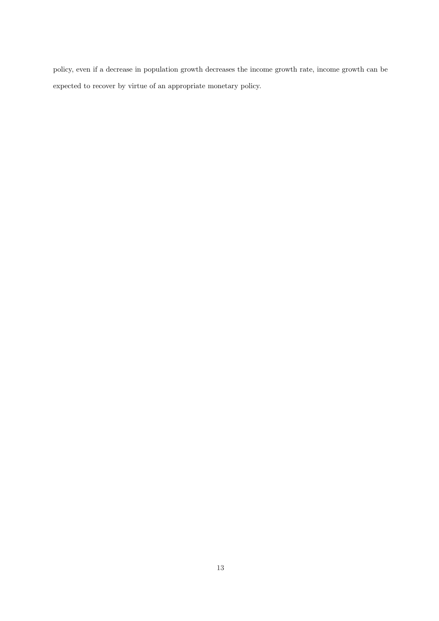policy, even if a decrease in population growth decreases the income growth rate, income growth can be expected to recover by virtue of an appropriate monetary policy.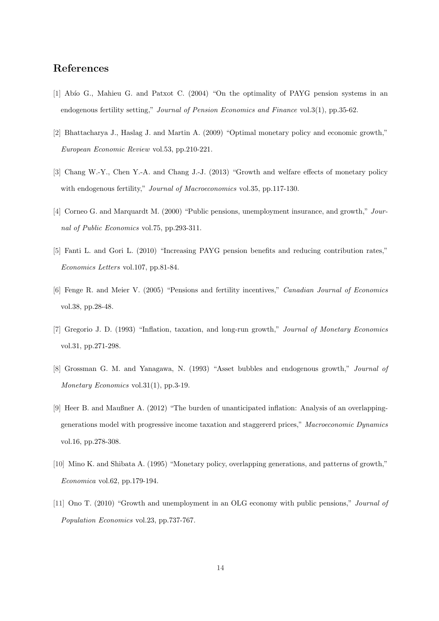## References

- [1] Abío G., Mahieu G. and Patxot C. (2004) "On the optimality of PAYG pension systems in an endogenous fertility setting," Journal of Pension Economics and Finance vol.3(1), pp.35-62.
- [2] Bhattacharya J., Haslag J. and Martin A. (2009) "Optimal monetary policy and economic growth," European Economic Review vol.53, pp.210-221.
- [3] Chang W.-Y., Chen Y.-A. and Chang J.-J. (2013) "Growth and welfare effects of monetary policy with endogenous fertility," Journal of Macroeconomics vol.35, pp.117-130.
- [4] Corneo G. and Marquardt M. (2000) "Public pensions, unemployment insurance, and growth," Journal of Public Economics vol.75, pp.293-311.
- [5] Fanti L. and Gori L. (2010) "Increasing PAYG pension benefits and reducing contribution rates," Economics Letters vol.107, pp.81-84.
- [6] Fenge R. and Meier V. (2005) "Pensions and fertility incentives," Canadian Journal of Economics vol.38, pp.28-48.
- [7] Gregorio J. D. (1993) "Inflation, taxation, and long-run growth," Journal of Monetary Economics vol.31, pp.271-298.
- [8] Grossman G. M. and Yanagawa, N. (1993) "Asset bubbles and endogenous growth," Journal of Monetary Economics vol.31(1), pp.3-19.
- [9] Heer B. and Maußner A. (2012) "The burden of unanticipated inflation: Analysis of an overlappinggenerations model with progressive income taxation and staggererd prices," Macroeconomic Dynamics vol.16, pp.278-308.
- [10] Mino K. and Shibata A. (1995) "Monetary policy, overlapping generations, and patterns of growth," Economica vol.62, pp.179-194.
- [11] Ono T. (2010) "Growth and unemployment in an OLG economy with public pensions," Journal of Population Economics vol.23, pp.737-767.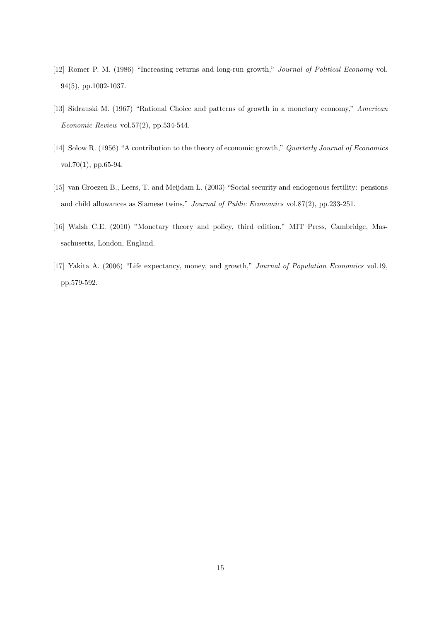- [12] Romer P. M. (1986) "Increasing returns and long-run growth," Journal of Political Economy vol. 94(5), pp.1002-1037.
- [13] Sidrauski M. (1967) "Rational Choice and patterns of growth in a monetary economy," American Economic Review vol.57 $(2)$ , pp.534-544.
- [14] Solow R. (1956) "A contribution to the theory of economic growth," Quarterly Journal of Economics vol.70(1), pp.65-94.
- [15] van Groezen B., Leers, T. and Meijdam L. (2003) "Social security and endogenous fertility: pensions and child allowances as Siamese twins," Journal of Public Economics vol.87(2), pp.233-251.
- [16] Walsh C.E. (2010) "Monetary theory and policy, third edition," MIT Press, Cambridge, Massachusetts, London, England.
- [17] Yakita A. (2006) "Life expectancy, money, and growth," Journal of Population Economics vol.19, pp.579-592.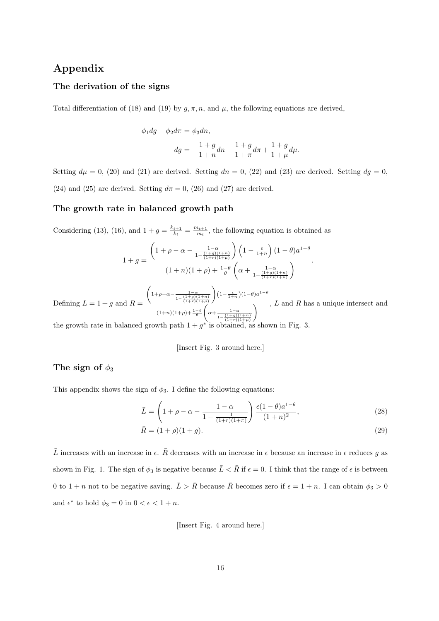## Appendix

## The derivation of the signs

Total differentiation of (18) and (19) by  $g, \pi, n$ , and  $\mu$ , the following equations are derived,

$$
\phi_1 dg - \phi_2 d\pi = \phi_3 dn,
$$
  

$$
dg = -\frac{1+g}{1+n} dn - \frac{1+g}{1+\pi} d\pi + \frac{1+g}{1+\mu} d\mu.
$$

Setting  $d\mu = 0$ , (20) and (21) are derived. Setting  $dn = 0$ , (22) and (23) are derived. Setting  $dg = 0$ , (24) and (25) are derived. Setting  $d\pi = 0$ , (26) and (27) are derived.

#### The growth rate in balanced growth path

Considering (13), (16), and  $1 + g = \frac{k_{t+1}}{k_t}$  $\frac{t+1}{k_t} = \frac{m_{t+1}}{m_t}$  $\frac{u_{t+1}}{m_t}$ , the following equation is obtained as

$$
1 + g = \frac{\left(1 + \rho - \alpha - \frac{1 - \alpha}{1 - \frac{(1 + g)(1 + n)}{(1 + r)(1 + \mu)}}\right)\left(1 - \frac{\epsilon}{1 + n}\right)(1 - \theta)a^{1 - \theta}}{(1 + n)(1 + \rho) + \frac{1 - \theta}{\theta}\left(\alpha + \frac{1 - \alpha}{1 - \frac{(1 + g)(1 + n)}{(1 + r)(1 + \mu)}}\right)}.
$$

Defining  $L = 1 + g$  and  $R =$  $\left(1+\rho-\alpha-\frac{1-\alpha}{(1+\alpha)}\right)$  $1-\frac{(1+g)(1+n)}{(1+r)(1+\mu)}$  $\left(1-\frac{\epsilon}{1+n}\right)(1-\theta)a^{1-\theta}$  $(1+n)(1+\rho)+\frac{1-\theta}{\theta}$   $\left(\alpha+\frac{1-\alpha}{(1+g)}\right)$  $1-\frac{(1+g)(1+n)}{(1+r)(1+\mu)}$  $\overline{\wedge}$ , L and R has a unique intersect and ∗

the growth rate in balanced growth path  $1 + g^*$  is obtained, as shown in Fig. 3.

#### [Insert Fig. 3 around here.]

## The sign of  $\phi_3$

This appendix shows the sign of  $\phi_3$ . I define the following equations:

$$
\bar{L} = \left(1 + \rho - \alpha - \frac{1 - \alpha}{1 - \frac{1}{(1+r)(1+\pi)}}\right) \frac{\epsilon (1-\theta) a^{1-\theta}}{(1+n)^2},\tag{28}
$$

$$
\bar{R} = (1 + \rho)(1 + g). \tag{29}
$$

 $\bar{L}$  increases with an increase in  $\epsilon$ .  $\bar{R}$  decreases with an increase in  $\epsilon$  because an increase in  $\epsilon$  reduces g as shown in Fig. 1. The sign of  $\phi_3$  is negative because  $\bar{L} < \bar{R}$  if  $\epsilon = 0$ . I think that the range of  $\epsilon$  is between 0 to 1 + n not to be negative saving.  $\bar{L} > \bar{R}$  because  $\bar{R}$  becomes zero if  $\epsilon = 1 + n$ . I can obtain  $\phi_3 > 0$ and  $\epsilon^*$  to hold  $\phi_3 = 0$  in  $0 < \epsilon < 1 + n$ .

[Insert Fig. 4 around here.]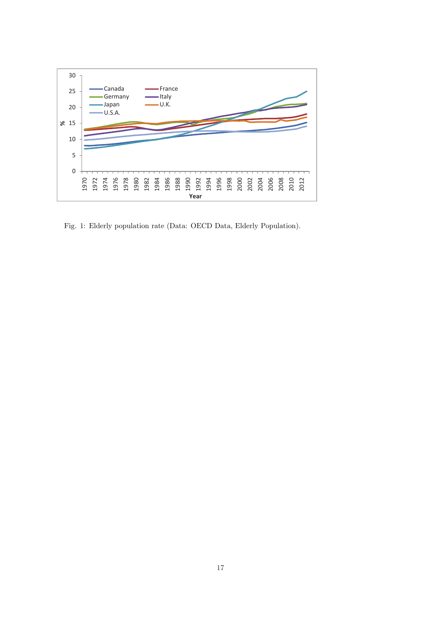

Fig. 1: Elderly population rate (Data: OECD Data, Elderly Population).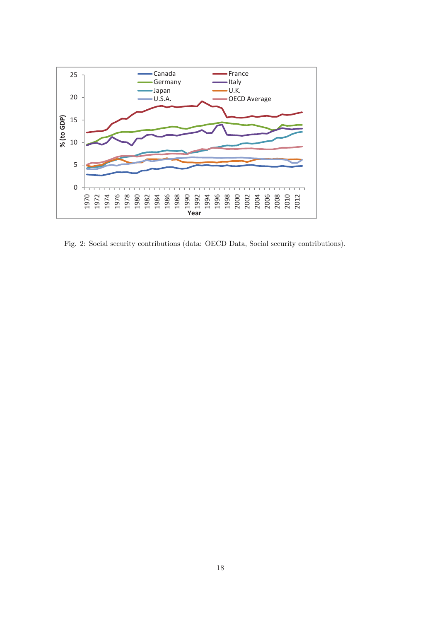

Fig. 2: Social security contributions (data: OECD Data, Social security contributions).